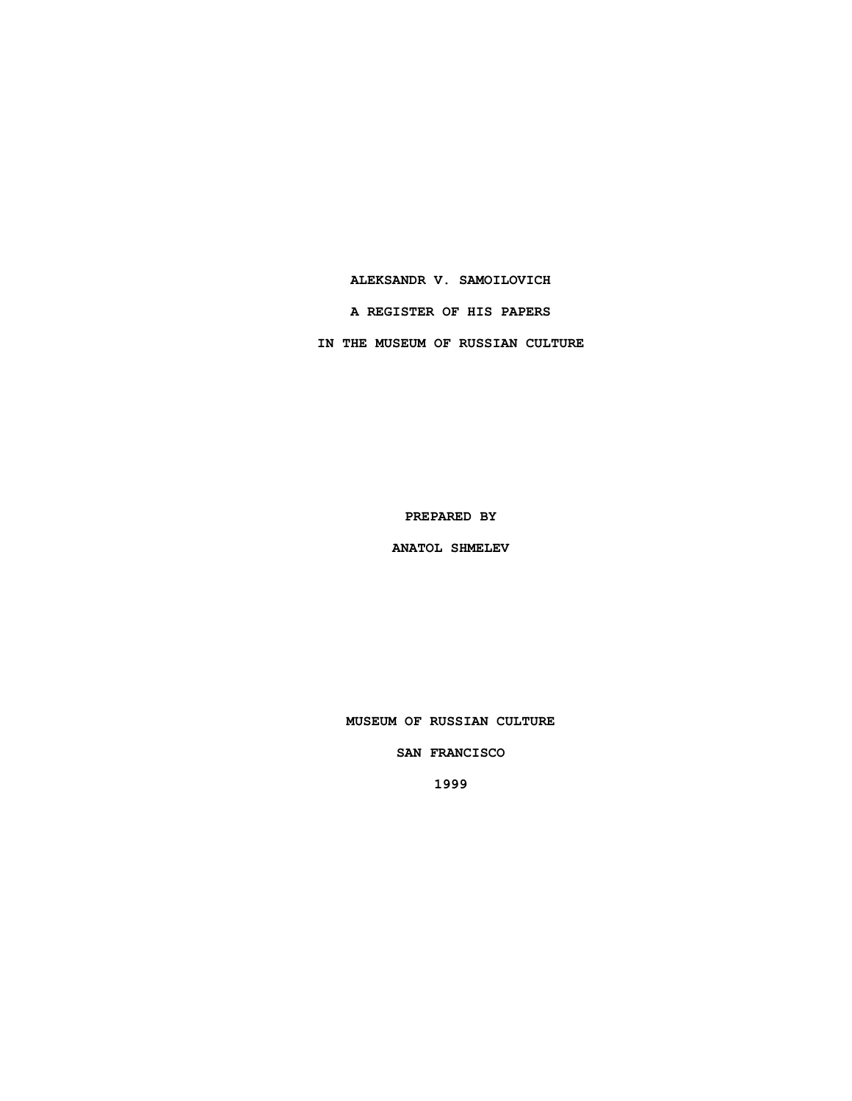### **ALEKSANDR V. SAMOILOVICH**

**A REGISTER OF HIS PAPERS**

**IN THE MUSEUM OF RUSSIAN CULTURE**

**PREPARED BY**

**ANATOL SHMELEV**

**MUSEUM OF RUSSIAN CULTURE**

**SAN FRANCISCO**

**1999**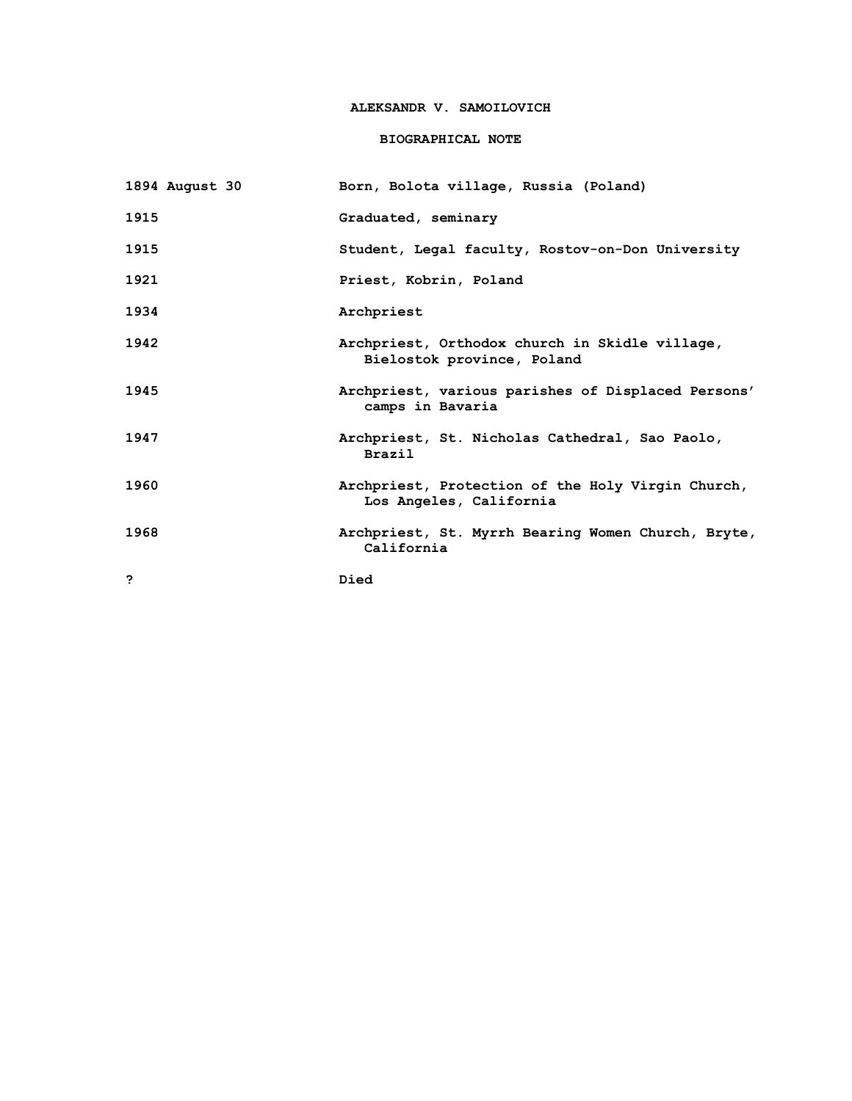## **ALEKSANDR V. SAMOILOVICH**

## **BIOGRAPHICAL NOTE**

| 1894 August 30 | Born, Bolota village, Russia (Poland)                                        |
|----------------|------------------------------------------------------------------------------|
| 1915           | Graduated, seminary                                                          |
| 1915           | Student, Legal faculty, Rostov-on-Don University                             |
| 1921           | Priest, Kobrin, Poland                                                       |
| 1934           | Archpriest                                                                   |
| 1942           | Archpriest, Orthodox church in Skidle village,<br>Bielostok province, Poland |
| 1945           | Archpriest, various parishes of Displaced Persons'<br>camps in Bavaria       |
| 1947           | Archpriest, St. Nicholas Cathedral, Sao Paolo,<br><b>Brazil</b>              |
| 1960           | Archpriest, Protection of the Holy Virgin Church,<br>Los Angeles, California |
| 1968           | Archpriest, St. Myrrh Bearing Women Church, Bryte,<br>California             |
| っ              | Died                                                                         |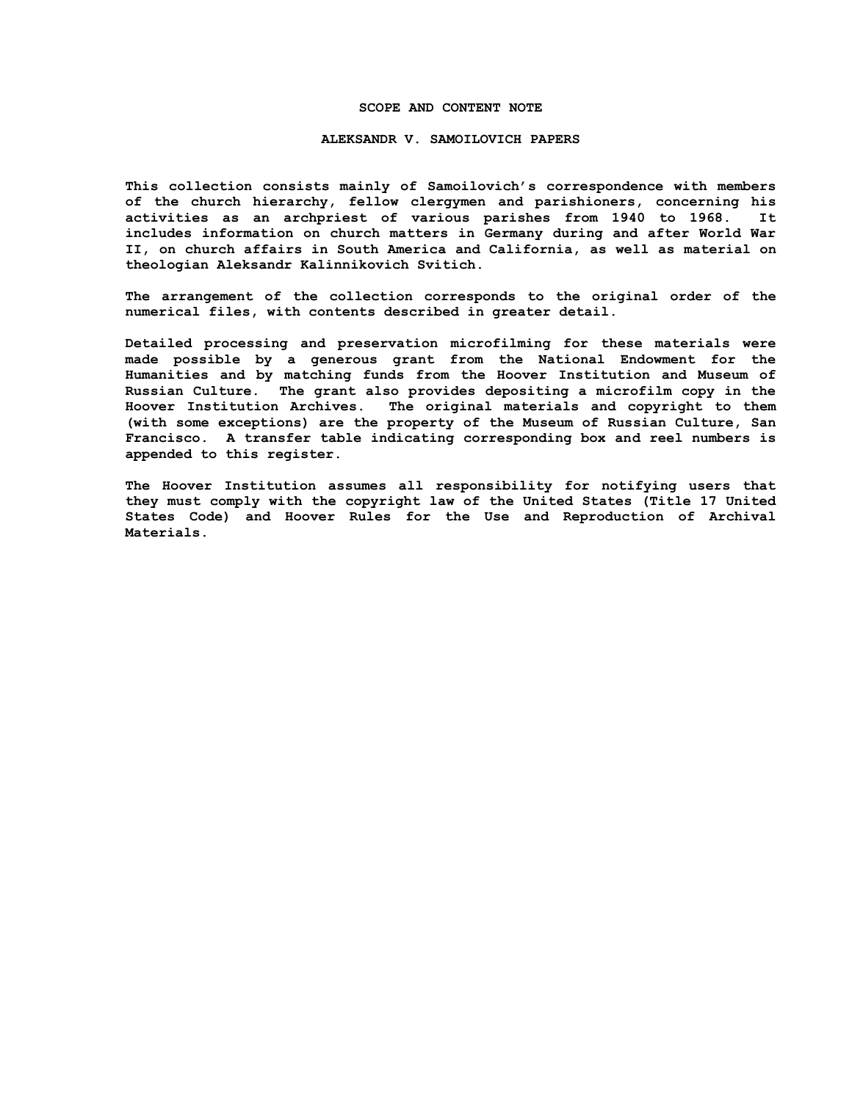#### **SCOPE AND CONTENT NOTE**

#### **ALEKSANDR V. SAMOILOVICH PAPERS**

**This collection consists mainly of Samoilovich's correspondence with members of the church hierarchy, fellow clergymen and parishioners, concerning his activities as an archpriest of various parishes from 1940 to 1968. It includes information on church matters in Germany during and after World War II, on church affairs in South America and California, as well as material on theologian Aleksandr Kalinnikovich Svitich.**

**The arrangement of the collection corresponds to the original order of the numerical files, with contents described in greater detail.**

**Detailed processing and preservation microfilming for these materials were made possible by a generous grant from the National Endowment for the Humanities and by matching funds from the Hoover Institution and Museum of Russian Culture. The grant also provides depositing a microfilm copy in the Hoover Institution Archives. The original materials and copyright to them (with some exceptions) are the property of the Museum of Russian Culture, San Francisco. A transfer table indicating corresponding box and reel numbers is appended to this register.**

**The Hoover Institution assumes all responsibility for notifying users that they must comply with the copyright law of the United States (Title 17 United States Code) and Hoover Rules for the Use and Reproduction of Archival Materials.**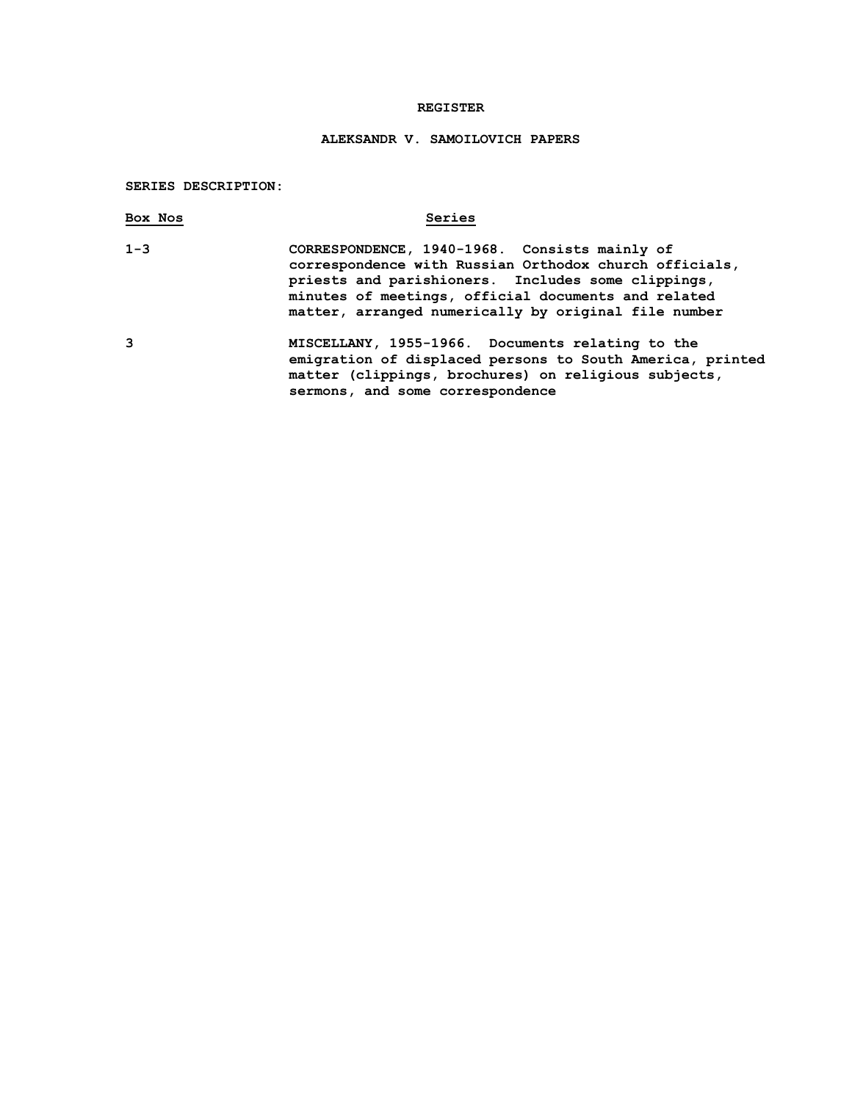#### **REGISTER**

# **ALEKSANDR V. SAMOILOVICH PAPERS**

#### **SERIES DESCRIPTION:**

| Box Nos | Series                                                                                                                                                                                                                                                                       |
|---------|------------------------------------------------------------------------------------------------------------------------------------------------------------------------------------------------------------------------------------------------------------------------------|
| $1 - 3$ | CORRESPONDENCE, 1940-1968. Consists mainly of<br>correspondence with Russian Orthodox church officials,<br>priests and parishioners. Includes some clippings,<br>minutes of meetings, official documents and related<br>matter, arranged numerically by original file number |
| 3       | MISCELLANY, 1955-1966. Documents relating to the<br>amiguetiae ef dienlaged meneren te Ceuth Buenice (muinte)                                                                                                                                                                |

**emigration of displaced persons to South America, printed matter (clippings, brochures) on religious subjects, sermons, and some correspondence**